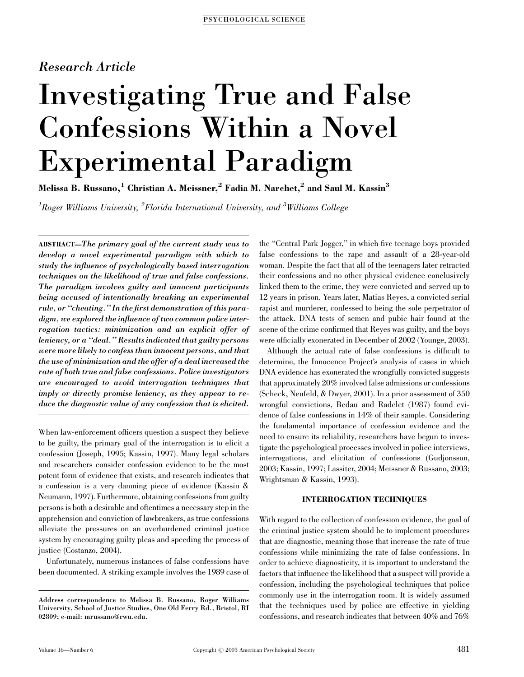# Research Article

# Investigating True and False Confessions Within a Novel Experimental Paradigm

Melissa B. Russano,<sup>1</sup> Christian A. Meissner,<sup>2</sup> Fadia M. Narchet,<sup>2</sup> and Saul M. Kassin<sup>3</sup>

 $^1$ Roger Williams University,  $^2$ Florida International University, and  $^3$ Williams College

ABSTRACT—The primary goal of the current study was to develop a novel experimental paradigm with which to study the influence of psychologically based interrogation techniques on the likelihood of true and false confessions. The paradigm involves guilty and innocent participants being accused of intentionally breaking an experimental rule, or ''cheating.'' In the first demonstration of this paradigm, we explored the influence of two common police interrogation tactics: minimization and an explicit offer of leniency, or a ''deal.'' Results indicated that guilty persons were more likely to confess than innocent persons, and that the use of minimization and the offer of a deal increased the rate of both true and false confessions. Police investigators are encouraged to avoid interrogation techniques that imply or directly promise leniency, as they appear to reduce the diagnostic value of any confession that is elicited.

When law-enforcement officers question a suspect they believe to be guilty, the primary goal of the interrogation is to elicit a confession (Joseph, 1995; Kassin, 1997). Many legal scholars and researchers consider confession evidence to be the most potent form of evidence that exists, and research indicates that a confession is a very damning piece of evidence (Kassin & Neumann, 1997). Furthermore, obtaining confessions from guilty persons is both a desirable and oftentimes a necessary step in the apprehension and conviction of lawbreakers, as true confessions alleviate the pressures on an overburdened criminal justice system by encouraging guilty pleas and speeding the process of justice (Costanzo, 2004).

Unfortunately, numerous instances of false confessions have been documented. A striking example involves the 1989 case of the ''Central Park Jogger,'' in which five teenage boys provided false confessions to the rape and assault of a 28-year-old woman. Despite the fact that all of the teenagers later retracted their confessions and no other physical evidence conclusively linked them to the crime, they were convicted and served up to 12 years in prison. Years later, Matias Reyes, a convicted serial rapist and murderer, confessed to being the sole perpetrator of the attack. DNA tests of semen and pubic hair found at the scene of the crime confirmed that Reyes was guilty, and the boys were officially exonerated in December of 2002 (Younge, 2003).

Although the actual rate of false confessions is difficult to determine, the Innocence Project's analysis of cases in which DNA evidence has exonerated the wrongfully convicted suggests that approximately 20% involved false admissions or confessions (Scheck, Neufeld, & Dwyer, 2001). In a prior assessment of 350 wrongful convictions, Bedau and Radelet (1987) found evidence of false confessions in 14% of their sample. Considering the fundamental importance of confession evidence and the need to ensure its reliability, researchers have begun to investigate the psychological processes involved in police interviews, interrogations, and elicitation of confessions (Gudjonsson, 2003; Kassin, 1997; Lassiter, 2004; Meissner & Russano, 2003; Wrightsman & Kassin, 1993).

# INTERROGATION TECHNIQUES

With regard to the collection of confession evidence, the goal of the criminal justice system should be to implement procedures that are diagnostic, meaning those that increase the rate of true confessions while minimizing the rate of false confessions. In order to achieve diagnosticity, it is important to understand the factors that influence the likelihood that a suspect will provide a confession, including the psychological techniques that police commonly use in the interrogation room. It is widely assumed that the techniques used by police are effective in yielding confessions, and research indicates that between 40% and 76%

Address correspondence to Melissa B. Russano, Roger Williams University, School of Justice Studies, One Old Ferry Rd., Bristol, RI 02809; e-mail: mrussano@rwu.edu.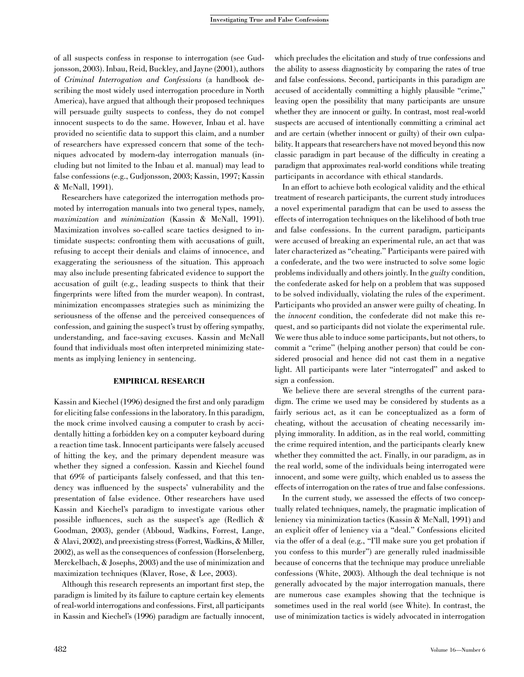of all suspects confess in response to interrogation (see Gudjonsson, 2003). Inbau, Reid, Buckley, and Jayne (2001), authors of Criminal Interrogation and Confessions (a handbook describing the most widely used interrogation procedure in North America), have argued that although their proposed techniques will persuade guilty suspects to confess, they do not compel innocent suspects to do the same. However, Inbau et al. have provided no scientific data to support this claim, and a number of researchers have expressed concern that some of the techniques advocated by modern-day interrogation manuals (including but not limited to the Inbau et al. manual) may lead to false confessions (e.g., Gudjonsson, 2003; Kassin, 1997; Kassin & McNall, 1991).

Researchers have categorized the interrogation methods promoted by interrogation manuals into two general types, namely, maximization and minimization (Kassin & McNall, 1991). Maximization involves so-called scare tactics designed to intimidate suspects: confronting them with accusations of guilt, refusing to accept their denials and claims of innocence, and exaggerating the seriousness of the situation. This approach may also include presenting fabricated evidence to support the accusation of guilt (e.g., leading suspects to think that their fingerprints were lifted from the murder weapon). In contrast, minimization encompasses strategies such as minimizing the seriousness of the offense and the perceived consequences of confession, and gaining the suspect's trust by offering sympathy, understanding, and face-saving excuses. Kassin and McNall found that individuals most often interpreted minimizing statements as implying leniency in sentencing.

### EMPIRICAL RESEARCH

Kassin and Kiechel (1996) designed the first and only paradigm for eliciting false confessions in the laboratory. In this paradigm, the mock crime involved causing a computer to crash by accidentally hitting a forbidden key on a computer keyboard during a reaction time task. Innocent participants were falsely accused of hitting the key, and the primary dependent measure was whether they signed a confession. Kassin and Kiechel found that 69% of participants falsely confessed, and that this tendency was influenced by the suspects' vulnerability and the presentation of false evidence. Other researchers have used Kassin and Kiechel's paradigm to investigate various other possible influences, such as the suspect's age (Redlich & Goodman, 2003), gender (Abboud, Wadkins, Forrest, Lange, & Alavi, 2002), and preexisting stress (Forrest, Wadkins, & Miller, 2002), as well as the consequences of confession (Horselenberg, Merckelbach, & Josephs, 2003) and the use of minimization and maximization techniques (Klaver, Rose, & Lee, 2003).

Although this research represents an important first step, the paradigm is limited by its failure to capture certain key elements of real-world interrogations and confessions. First, all participants in Kassin and Kiechel's (1996) paradigm are factually innocent,

which precludes the elicitation and study of true confessions and the ability to assess diagnosticity by comparing the rates of true and false confessions. Second, participants in this paradigm are accused of accidentally committing a highly plausible ''crime,'' leaving open the possibility that many participants are unsure whether they are innocent or guilty. In contrast, most real-world suspects are accused of intentionally committing a criminal act and are certain (whether innocent or guilty) of their own culpability. It appears that researchers have not moved beyond this now classic paradigm in part because of the difficulty in creating a paradigm that approximates real-world conditions while treating participants in accordance with ethical standards.

In an effort to achieve both ecological validity and the ethical treatment of research participants, the current study introduces a novel experimental paradigm that can be used to assess the effects of interrogation techniques on the likelihood of both true and false confessions. In the current paradigm, participants were accused of breaking an experimental rule, an act that was later characterized as ''cheating.'' Participants were paired with a confederate, and the two were instructed to solve some logic problems individually and others jointly. In the *guilty* condition, the confederate asked for help on a problem that was supposed to be solved individually, violating the rules of the experiment. Participants who provided an answer were guilty of cheating. In the innocent condition, the confederate did not make this request, and so participants did not violate the experimental rule. We were thus able to induce some participants, but not others, to commit a "crime" (helping another person) that could be considered prosocial and hence did not cast them in a negative light. All participants were later ''interrogated'' and asked to sign a confession.

We believe there are several strengths of the current paradigm. The crime we used may be considered by students as a fairly serious act, as it can be conceptualized as a form of cheating, without the accusation of cheating necessarily implying immorality. In addition, as in the real world, committing the crime required intention, and the participants clearly knew whether they committed the act. Finally, in our paradigm, as in the real world, some of the individuals being interrogated were innocent, and some were guilty, which enabled us to assess the effects of interrogation on the rates of true and false confessions.

In the current study, we assessed the effects of two conceptually related techniques, namely, the pragmatic implication of leniency via minimization tactics (Kassin & McNall, 1991) and an explicit offer of leniency via a ''deal.'' Confessions elicited via the offer of a deal (e.g., "I'll make sure you get probation if you confess to this murder'') are generally ruled inadmissible because of concerns that the technique may produce unreliable confessions (White, 2003). Although the deal technique is not generally advocated by the major interrogation manuals, there are numerous case examples showing that the technique is sometimes used in the real world (see White). In contrast, the use of minimization tactics is widely advocated in interrogation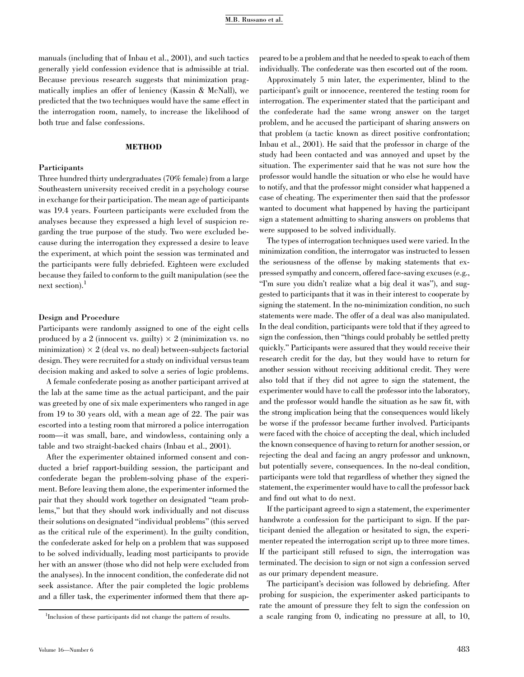manuals (including that of Inbau et al., 2001), and such tactics generally yield confession evidence that is admissible at trial. Because previous research suggests that minimization pragmatically implies an offer of leniency (Kassin & McNall), we predicted that the two techniques would have the same effect in the interrogation room, namely, to increase the likelihood of both true and false confessions.

# METHOD

## Participants

Three hundred thirty undergraduates (70% female) from a large Southeastern university received credit in a psychology course in exchange for their participation. The mean age of participants was 19.4 years. Fourteen participants were excluded from the analyses because they expressed a high level of suspicion regarding the true purpose of the study. Two were excluded because during the interrogation they expressed a desire to leave the experiment, at which point the session was terminated and the participants were fully debriefed. Eighteen were excluded because they failed to conform to the guilt manipulation (see the next section).<sup>1</sup>

#### Design and Procedure

Participants were randomly assigned to one of the eight cells produced by a 2 (innocent vs. guilty)  $\times$  2 (minimization vs. no minimization)  $\times$  2 (deal vs. no deal) between-subjects factorial design. They were recruited for a study on individual versus team decision making and asked to solve a series of logic problems.

A female confederate posing as another participant arrived at the lab at the same time as the actual participant, and the pair was greeted by one of six male experimenters who ranged in age from 19 to 30 years old, with a mean age of 22. The pair was escorted into a testing room that mirrored a police interrogation room—it was small, bare, and windowless, containing only a table and two straight-backed chairs (Inbau et al., 2001).

After the experimenter obtained informed consent and conducted a brief rapport-building session, the participant and confederate began the problem-solving phase of the experiment. Before leaving them alone, the experimenter informed the pair that they should work together on designated ''team problems,'' but that they should work individually and not discuss their solutions on designated ''individual problems'' (this served as the critical rule of the experiment). In the guilty condition, the confederate asked for help on a problem that was supposed to be solved individually, leading most participants to provide her with an answer (those who did not help were excluded from the analyses). In the innocent condition, the confederate did not seek assistance. After the pair completed the logic problems and a filler task, the experimenter informed them that there ap-

peared to be a problem and that he needed to speak to each of them individually. The confederate was then escorted out of the room.

Approximately 5 min later, the experimenter, blind to the participant's guilt or innocence, reentered the testing room for interrogation. The experimenter stated that the participant and the confederate had the same wrong answer on the target problem, and he accused the participant of sharing answers on that problem (a tactic known as direct positive confrontation; Inbau et al., 2001). He said that the professor in charge of the study had been contacted and was annoyed and upset by the situation. The experimenter said that he was not sure how the professor would handle the situation or who else he would have to notify, and that the professor might consider what happened a case of cheating. The experimenter then said that the professor wanted to document what happened by having the participant sign a statement admitting to sharing answers on problems that were supposed to be solved individually.

The types of interrogation techniques used were varied. In the minimization condition, the interrogator was instructed to lessen the seriousness of the offense by making statements that expressed sympathy and concern, offered face-saving excuses (e.g., "I'm sure you didn't realize what a big deal it was"), and suggested to participants that it was in their interest to cooperate by signing the statement. In the no-minimization condition, no such statements were made. The offer of a deal was also manipulated. In the deal condition, participants were told that if they agreed to sign the confession, then ''things could probably be settled pretty quickly.'' Participants were assured that they would receive their research credit for the day, but they would have to return for another session without receiving additional credit. They were also told that if they did not agree to sign the statement, the experimenter would have to call the professor into the laboratory, and the professor would handle the situation as he saw fit, with the strong implication being that the consequences would likely be worse if the professor became further involved. Participants were faced with the choice of accepting the deal, which included the known consequence of having to return for another session, or rejecting the deal and facing an angry professor and unknown, but potentially severe, consequences. In the no-deal condition, participants were told that regardless of whether they signed the statement, the experimenter would have to call the professor back and find out what to do next.

If the participant agreed to sign a statement, the experimenter handwrote a confession for the participant to sign. If the participant denied the allegation or hesitated to sign, the experimenter repeated the interrogation script up to three more times. If the participant still refused to sign, the interrogation was terminated. The decision to sign or not sign a confession served as our primary dependent measure.

The participant's decision was followed by debriefing. After probing for suspicion, the experimenter asked participants to rate the amount of pressure they felt to sign the confession on a scale ranging from 0, indicating no pressure at all, to 10,

<sup>&</sup>lt;sup>1</sup>Inclusion of these participants did not change the pattern of results.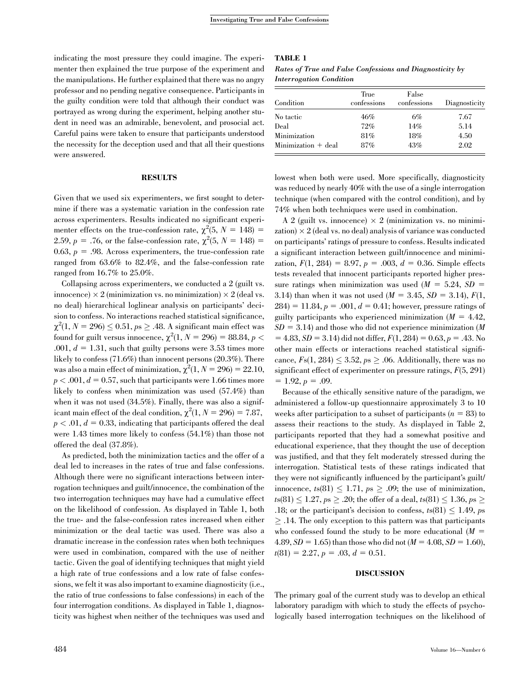indicating the most pressure they could imagine. The experimenter then explained the true purpose of the experiment and the manipulations. He further explained that there was no angry professor and no pending negative consequence. Participants in the guilty condition were told that although their conduct was portrayed as wrong during the experiment, helping another student in need was an admirable, benevolent, and prosocial act. Careful pains were taken to ensure that participants understood the necessity for the deception used and that all their questions were answered.

### RESULTS

Given that we used six experimenters, we first sought to determine if there was a systematic variation in the confession rate across experimenters. Results indicated no significant experimenter effects on the true-confession rate,  $\chi^2(5, N = 148)$  = 2.59,  $p = .76$ , or the false-confession rate,  $\chi^2(5, N = 148) =$ 0.63,  $p = .98$ . Across experimenters, the true-confession rate ranged from 63.6% to 82.4%, and the false-confession rate ranged from 16.7% to 25.0%.

Collapsing across experimenters, we conducted a 2 (guilt vs. innocence)  $\times$  2 (minimization vs. no minimization)  $\times$  2 (deal vs. no deal) hierarchical loglinear analysis on participants' decision to confess. No interactions reached statistical significance,  $\chi^2(1, N = 296) \le 0.51, p s \ge .48$ . A significant main effect was found for guilt versus innocence,  $\chi^2(1, N = 296) = 88.84, p < 10^{-4}$ .001,  $d = 1.31$ , such that guilty persons were 3.53 times more likely to confess (71.6%) than innocent persons (20.3%). There was also a main effect of minimization,  $\chi^2(1, N = 296) = 22.10$ ,  $p < .001, d = 0.57$ , such that participants were 1.66 times more likely to confess when minimization was used (57.4%) than when it was not used  $(34.5\%)$ . Finally, there was also a significant main effect of the deal condition,  $\chi^2(1, N = 296) = 7.87$ ,  $p < .01, d = 0.33$ , indicating that participants offered the deal were 1.43 times more likely to confess (54.1%) than those not offered the deal (37.8%).

As predicted, both the minimization tactics and the offer of a deal led to increases in the rates of true and false confessions. Although there were no significant interactions between interrogation techniques and guilt/innocence, the combination of the two interrogation techniques may have had a cumulative effect on the likelihood of confession. As displayed in Table 1, both the true- and the false-confession rates increased when either minimization or the deal tactic was used. There was also a dramatic increase in the confession rates when both techniques were used in combination, compared with the use of neither tactic. Given the goal of identifying techniques that might yield a high rate of true confessions and a low rate of false confessions, we felt it was also important to examine diagnosticity (i.e., the ratio of true confessions to false confessions) in each of the four interrogation conditions. As displayed in Table 1, diagnosticity was highest when neither of the techniques was used and

#### TABLE 1

Rates of True and False Confessions and Diagnosticity by Interrogation Condition

| Condition             | True<br>confessions | False<br>confessions | Diagnosticity |  |  |
|-----------------------|---------------------|----------------------|---------------|--|--|
| No tactic             | 46%                 | 6%                   | 7.67          |  |  |
| Deal                  | 72%                 | 14%                  | 5.14          |  |  |
| Minimization          | 81%                 | 18%                  | 4.50          |  |  |
| $Minimization + deal$ | 87%                 | 43%                  | 2.02          |  |  |

lowest when both were used. More specifically, diagnosticity was reduced by nearly 40% with the use of a single interrogation technique (when compared with the control condition), and by 74% when both techniques were used in combination.

A 2 (guilt vs. innocence)  $\times$  2 (minimization vs. no minimization)  $\times$  2 (deal vs. no deal) analysis of variance was conducted on participants' ratings of pressure to confess. Results indicated a significant interaction between guilt/innocence and minimization,  $F(1, 284) = 8.97$ ,  $p = .003$ ,  $d = 0.36$ . Simple effects tests revealed that innocent participants reported higher pressure ratings when minimization was used  $(M = 5.24, SD =$ 3.14) than when it was not used  $(M = 3.45, SD = 3.14), F(1,$  $284 = 11.84, p = .001, d = 0.41$ ; however, pressure ratings of guilty participants who experienced minimization  $(M = 4.42,$  $SD = 3.14$ ) and those who did not experience minimization (M)  $= 4.83, SD = 3.14$ ) did not differ,  $F(1, 284) = 0.63, p = .43$ . No other main effects or interactions reached statistical significance,  $Fs(1, 284) \leq 3.52$ ,  $ps \geq .06$ . Additionally, there was no significant effect of experimenter on pressure ratings,  $F(5, 291)$  $= 1.92, p = .09.$ 

Because of the ethically sensitive nature of the paradigm, we administered a follow-up questionnaire approximately 3 to 10 weeks after participation to a subset of participants ( $n = 83$ ) to assess their reactions to the study. As displayed in Table 2, participants reported that they had a somewhat positive and educational experience, that they thought the use of deception was justified, and that they felt moderately stressed during the interrogation. Statistical tests of these ratings indicated that they were not significantly influenced by the participant's guilt/ innocence,  $ts(81) \le 1.71$ ,  $ps \ge .09$ ; the use of minimization, ts(81)  $\leq 1.27,$   $ps \geq .20;$  the offer of a deal, ts(81)  $\leq 1.36,$   $ps \geq$ .18; or the participant's decision to confess,  $ts(81) \leq 1.49$ , ps  $\geq$  .14. The only exception to this pattern was that participants who confessed found the study to be more educational  $(M =$ 4.89,  $SD = 1.65$ ) than those who did not ( $M = 4.08$ ,  $SD = 1.60$ ),  $t(81) = 2.27, p = .03, d = 0.51.$ 

### DISCUSSION

The primary goal of the current study was to develop an ethical laboratory paradigm with which to study the effects of psychologically based interrogation techniques on the likelihood of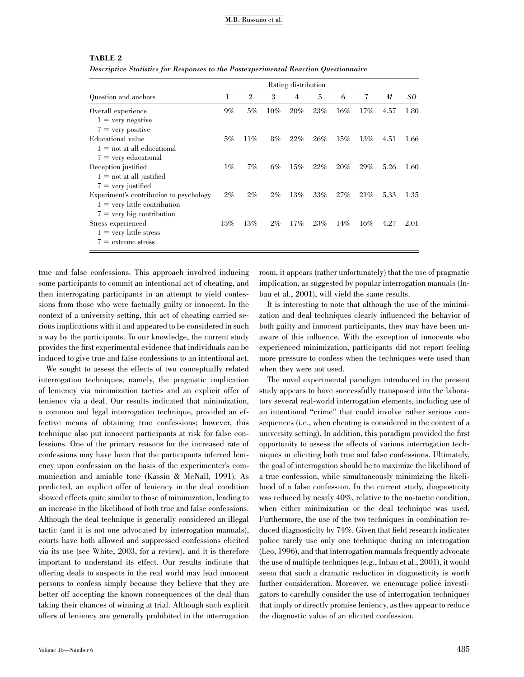#### M.B. Russano et al.

#### TABLE 2

Descriptive Statistics for Responses to the Postexperimental Reaction Questionnaire

|                                         | Rating distribution |                |        |        |     |     |        |      |      |
|-----------------------------------------|---------------------|----------------|--------|--------|-----|-----|--------|------|------|
| Question and anchors                    | ı                   | $\mathfrak{2}$ | 3      | 4      | 5   | 6   | 7      | M    | SD   |
| Overall experience                      | $9\%$               | 5%             | $10\%$ | $20\%$ | 23% | 16% | 17%    | 4.57 | 1.80 |
| $1 =$ very negative                     |                     |                |        |        |     |     |        |      |      |
| $7 = \text{very positive}$              |                     |                |        |        |     |     |        |      |      |
| Educational value                       | 5%                  | $11\%$         | 8%     | $22\%$ | 26% | 15% | 13%    | 4.51 | 1.66 |
| $1 =$ not at all educational            |                     |                |        |        |     |     |        |      |      |
| $7 =$ very educational                  |                     |                |        |        |     |     |        |      |      |
| Deception justified                     | $1\%$               | $7\%$          | 6%     | 15%    | 22% | 20% | 29%    | 5.26 | 1.60 |
| $1 = not$ at all justified              |                     |                |        |        |     |     |        |      |      |
| $7 = \text{very justified}$             |                     |                |        |        |     |     |        |      |      |
| Experiment's contribution to psychology | $2\%$               | $2\%$          | $2\%$  | 13%    | 33% | 27% | 21%    | 5.33 | 1.35 |
| $1 = \text{very little contribution}$   |                     |                |        |        |     |     |        |      |      |
| $7 = \text{very big contribution}$      |                     |                |        |        |     |     |        |      |      |
| Stress experienced                      | $15\%$              | 13%            | $2\%$  | 17%    | 23% | 14% | $16\%$ | 4.27 | 2.01 |
| $1 = \text{very little stress}$         |                     |                |        |        |     |     |        |      |      |
| $7 =$ extreme stress                    |                     |                |        |        |     |     |        |      |      |

true and false confessions. This approach involved inducing some participants to commit an intentional act of cheating, and then interrogating participants in an attempt to yield confessions from those who were factually guilty or innocent. In the context of a university setting, this act of cheating carried serious implications with it and appeared to be considered in such a way by the participants. To our knowledge, the current study provides the first experimental evidence that individuals can be induced to give true and false confessions to an intentional act.

We sought to assess the effects of two conceptually related interrogation techniques, namely, the pragmatic implication of leniency via minimization tactics and an explicit offer of leniency via a deal. Our results indicated that minimization, a common and legal interrogation technique, provided an effective means of obtaining true confessions; however, this technique also put innocent participants at risk for false confessions. One of the primary reasons for the increased rate of confessions may have been that the participants inferred leniency upon confession on the basis of the experimenter's communication and amiable tone (Kassin & McNall, 1991). As predicted, an explicit offer of leniency in the deal condition showed effects quite similar to those of minimization, leading to an increase in the likelihood of both true and false confessions. Although the deal technique is generally considered an illegal tactic (and it is not one advocated by interrogation manuals), courts have both allowed and suppressed confessions elicited via its use (see White, 2003, for a review), and it is therefore important to understand its effect. Our results indicate that offering deals to suspects in the real world may lead innocent persons to confess simply because they believe that they are better off accepting the known consequences of the deal than taking their chances of winning at trial. Although such explicit offers of leniency are generally prohibited in the interrogation

implication, as suggested by popular interrogation manuals (Inbau et al., 2001), will yield the same results. It is interesting to note that although the use of the minimi-

zation and deal techniques clearly influenced the behavior of both guilty and innocent participants, they may have been unaware of this influence. With the exception of innocents who experienced minimization, participants did not report feeling more pressure to confess when the techniques were used than when they were not used.

room, it appears (rather unfortunately) that the use of pragmatic

The novel experimental paradigm introduced in the present study appears to have successfully transposed into the laboratory several real-world interrogation elements, including use of an intentional ''crime'' that could involve rather serious consequences (i.e., when cheating is considered in the context of a university setting). In addition, this paradigm provided the first opportunity to assess the effects of various interrogation techniques in eliciting both true and false confessions. Ultimately, the goal of interrogation should be to maximize the likelihood of a true confession, while simultaneously minimizing the likelihood of a false confession. In the current study, diagnosticity was reduced by nearly 40%, relative to the no-tactic condition, when either minimization or the deal technique was used. Furthermore, the use of the two techniques in combination reduced diagnosticity by 74%. Given that field research indicates police rarely use only one technique during an interrogation (Leo, 1996), and that interrogation manuals frequently advocate the use of multiple techniques (e.g., Inbau et al., 2001), it would seem that such a dramatic reduction in diagnosticity is worth further consideration. Moreover, we encourage police investigators to carefully consider the use of interrogation techniques that imply or directly promise leniency, as they appear to reduce the diagnostic value of an elicited confession.